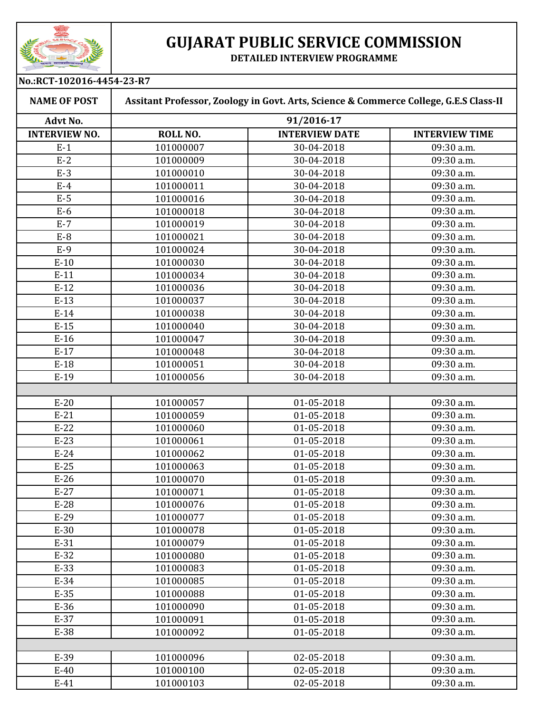

## **GUJARAT PUBLIC SERVICE COMMISSION**

**DETAILED INTERVIEW PROGRAMME**

| No.:RCT-102016-4454-23-R7 |                                                                                       |                       |                       |  |
|---------------------------|---------------------------------------------------------------------------------------|-----------------------|-----------------------|--|
| <b>NAME OF POST</b>       | Assitant Professor, Zoology in Govt. Arts, Science & Commerce College, G.E.S Class-II |                       |                       |  |
| Advt No.                  | 91/2016-17                                                                            |                       |                       |  |
| <b>INTERVIEW NO.</b>      | ROLL NO.                                                                              | <b>INTERVIEW DATE</b> | <b>INTERVIEW TIME</b> |  |
| $E-1$                     | 101000007                                                                             | 30-04-2018            | 09:30 a.m.            |  |
| $E-2$                     | 101000009                                                                             | 30-04-2018            | 09:30 a.m.            |  |
| $E-3$                     | 101000010                                                                             | 30-04-2018            | 09:30 a.m.            |  |
| $E-4$                     | 101000011                                                                             | 30-04-2018            | 09:30 a.m.            |  |
| $E-5$                     | 101000016                                                                             | 30-04-2018            | 09:30 a.m.            |  |
| $E-6$                     | 101000018                                                                             | 30-04-2018            | 09:30 a.m.            |  |
| $E-7$                     | 101000019                                                                             | 30-04-2018            | 09:30 a.m.            |  |
| $E-8$                     | 101000021                                                                             | 30-04-2018            | 09:30 a.m.            |  |
| $E-9$                     | 101000024                                                                             | 30-04-2018            | 09:30 a.m.            |  |
| $E-10$                    | 101000030                                                                             | 30-04-2018            | 09:30 a.m.            |  |
| $E-11$                    | 101000034                                                                             | 30-04-2018            | 09:30 a.m.            |  |
| $E-12$                    | 101000036                                                                             | 30-04-2018            | 09:30 a.m.            |  |
| $E-13$                    | 101000037                                                                             | 30-04-2018            | 09:30 a.m.            |  |
| $E-14$                    | 101000038                                                                             | 30-04-2018            | 09:30 a.m.            |  |
| $E-15$                    | 101000040                                                                             | 30-04-2018            | 09:30 a.m.            |  |
| $E-16$                    | 101000047                                                                             | 30-04-2018            | 09:30 a.m.            |  |
| $E-17$                    | 101000048                                                                             | 30-04-2018            | 09:30 a.m.            |  |
| $E-18$                    | 101000051                                                                             | 30-04-2018            | 09:30 a.m.            |  |
| $E-19$                    | 101000056                                                                             | 30-04-2018            | 09:30 a.m.            |  |
|                           |                                                                                       |                       |                       |  |
| $E-20$                    | 101000057                                                                             | 01-05-2018            | 09:30 a.m.            |  |
| $E-21$                    | 101000059                                                                             | 01-05-2018            | 09:30 a.m.            |  |
| $E-22$                    | 101000060                                                                             | 01-05-2018            | 09:30 a.m.            |  |
| $E-23$                    | 101000061                                                                             | 01-05-2018            | 09:30 a.m.            |  |
| $E-24$                    | 101000062                                                                             | 01-05-2018            | 09:30 a.m.            |  |
| $E-25$                    | 101000063                                                                             | 01-05-2018            | 09:30 a.m.            |  |
| $E-26$                    | 101000070                                                                             | 01-05-2018            | 09:30 a.m.            |  |
| $E-27$                    | 101000071                                                                             | 01-05-2018            | 09:30 a.m.            |  |
| $E-28$                    | 101000076                                                                             | 01-05-2018            | 09:30 a.m.            |  |
| $E-29$                    | 101000077                                                                             | 01-05-2018            | 09:30 a.m.            |  |
| $E-30$                    | 101000078                                                                             | 01-05-2018            | 09:30 a.m.            |  |
| $E-31$                    | 101000079                                                                             | 01-05-2018            | 09:30 a.m.            |  |
| $E-32$                    | 101000080                                                                             | 01-05-2018            | 09:30 a.m.            |  |
| $E-33$                    | 101000083                                                                             | 01-05-2018            | 09:30 a.m.            |  |
| $E-34$                    | 101000085                                                                             | 01-05-2018            | 09:30 a.m.            |  |
| $E-35$                    | 101000088                                                                             | 01-05-2018            | 09:30 a.m.            |  |
| $E-36$                    | 101000090                                                                             | 01-05-2018            | 09:30 a.m.            |  |
| $E-37$                    | 101000091                                                                             | 01-05-2018            | 09:30 a.m.            |  |
| $E-38$                    | 101000092                                                                             | 01-05-2018            | 09:30 a.m.            |  |
|                           |                                                                                       |                       |                       |  |
| E-39                      | 101000096                                                                             | 02-05-2018            | 09:30 a.m.            |  |
| $E-40$                    | 101000100                                                                             | 02-05-2018            | 09:30 a.m.            |  |
| $E-41$                    | 101000103                                                                             | 02-05-2018            | 09:30 a.m.            |  |